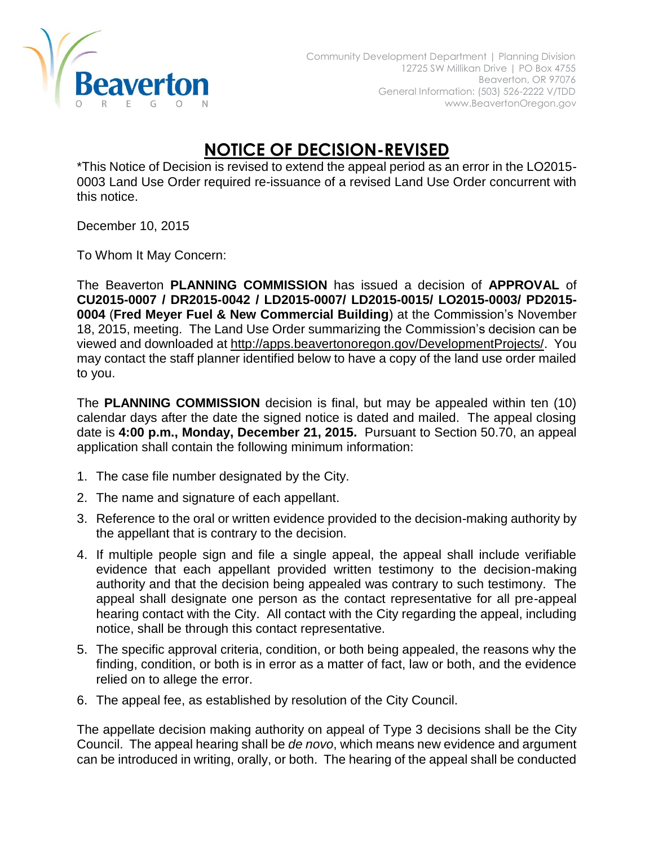

## **NOTICE OF DECISION-REVISED**

\*This Notice of Decision is revised to extend the appeal period as an error in the LO2015- 0003 Land Use Order required re-issuance of a revised Land Use Order concurrent with this notice.

December 10, 2015

To Whom It May Concern:

The Beaverton **PLANNING COMMISSION** has issued a decision of **APPROVAL** of **CU2015-0007 / DR2015-0042 / LD2015-0007/ LD2015-0015/ LO2015-0003/ PD2015- 0004** (**Fred Meyer Fuel & New Commercial Building**) at the Commission's November 18, 2015, meeting. The Land Use Order summarizing the Commission's decision can be viewed and downloaded at [http://apps.beavertonoregon.gov/DevelopmentProjects/.](http://apps.beavertonoregon.gov/DevelopmentProjects/) You may contact the staff planner identified below to have a copy of the land use order mailed to you.

The **PLANNING COMMISSION** decision is final, but may be appealed within ten (10) calendar days after the date the signed notice is dated and mailed. The appeal closing date is **4:00 p.m., Monday, December 21, 2015.** Pursuant to Section 50.70, an appeal application shall contain the following minimum information:

- 1. The case file number designated by the City.
- 2. The name and signature of each appellant.
- 3. Reference to the oral or written evidence provided to the decision-making authority by the appellant that is contrary to the decision.
- 4. If multiple people sign and file a single appeal, the appeal shall include verifiable evidence that each appellant provided written testimony to the decision-making authority and that the decision being appealed was contrary to such testimony. The appeal shall designate one person as the contact representative for all pre-appeal hearing contact with the City. All contact with the City regarding the appeal, including notice, shall be through this contact representative.
- 5. The specific approval criteria, condition, or both being appealed, the reasons why the finding, condition, or both is in error as a matter of fact, law or both, and the evidence relied on to allege the error.
- 6. The appeal fee, as established by resolution of the City Council.

The appellate decision making authority on appeal of Type 3 decisions shall be the City Council. The appeal hearing shall be *de novo*, which means new evidence and argument can be introduced in writing, orally, or both. The hearing of the appeal shall be conducted